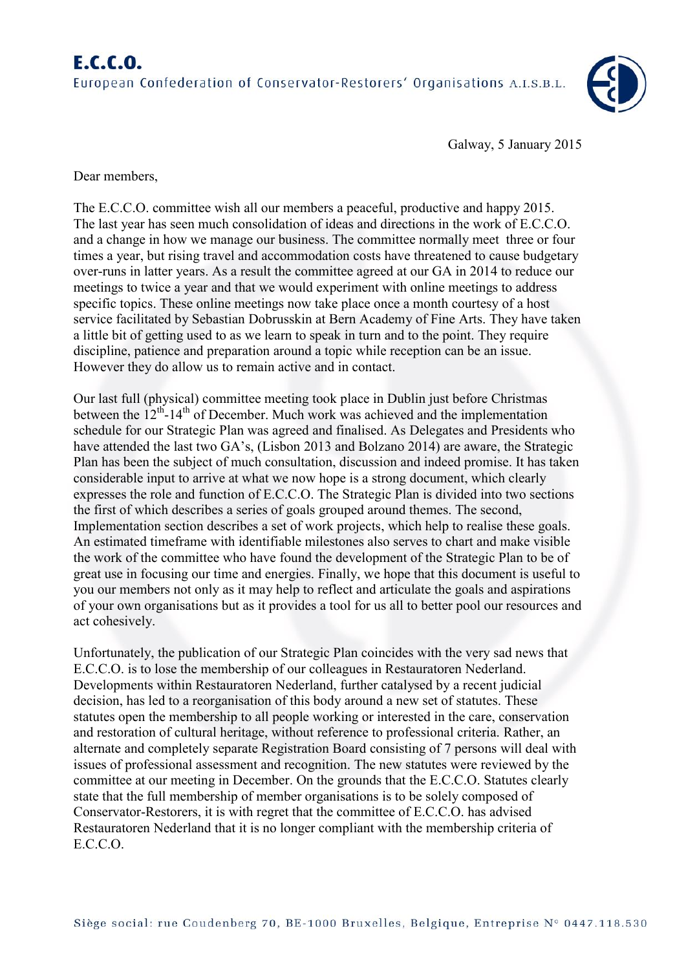

Galway, 5 January 2015

Dear members,

The E.C.C.O. committee wish all our members a peaceful, productive and happy 2015. The last year has seen much consolidation of ideas and directions in the work of E.C.C.O. and a change in how we manage our business. The committee normally meet three or four times a year, but rising travel and accommodation costs have threatened to cause budgetary over-runs in latter years. As a result the committee agreed at our GA in 2014 to reduce our meetings to twice a year and that we would experiment with online meetings to address specific topics. These online meetings now take place once a month courtesy of a host service facilitated by Sebastian Dobrusskin at Bern Academy of Fine Arts. They have taken a little bit of getting used to as we learn to speak in turn and to the point. They require discipline, patience and preparation around a topic while reception can be an issue. However they do allow us to remain active and in contact.

Our last full (physical) committee meeting took place in Dublin just before Christmas between the  $12<sup>th</sup> - 14<sup>th</sup>$  of December. Much work was achieved and the implementation schedule for our Strategic Plan was agreed and finalised. As Delegates and Presidents who have attended the last two GA's, (Lisbon 2013 and Bolzano 2014) are aware, the Strategic Plan has been the subject of much consultation, discussion and indeed promise. It has taken considerable input to arrive at what we now hope is a strong document, which clearly expresses the role and function of E.C.C.O. The Strategic Plan is divided into two sections the first of which describes a series of goals grouped around themes. The second, Implementation section describes a set of work projects, which help to realise these goals. An estimated timeframe with identifiable milestones also serves to chart and make visible the work of the committee who have found the development of the Strategic Plan to be of great use in focusing our time and energies. Finally, we hope that this document is useful to you our members not only as it may help to reflect and articulate the goals and aspirations of your own organisations but as it provides a tool for us all to better pool our resources and act cohesively.

Unfortunately, the publication of our Strategic Plan coincides with the very sad news that E.C.C.O. is to lose the membership of our colleagues in Restauratoren Nederland. Developments within Restauratoren Nederland, further catalysed by a recent judicial decision, has led to a reorganisation of this body around a new set of statutes. These statutes open the membership to all people working or interested in the care, conservation and restoration of cultural heritage, without reference to professional criteria. Rather, an alternate and completely separate Registration Board consisting of 7 persons will deal with issues of professional assessment and recognition. The new statutes were reviewed by the committee at our meeting in December. On the grounds that the E.C.C.O. Statutes clearly state that the full membership of member organisations is to be solely composed of Conservator-Restorers, it is with regret that the committee of E.C.C.O. has advised Restauratoren Nederland that it is no longer compliant with the membership criteria of E.C.C.O.